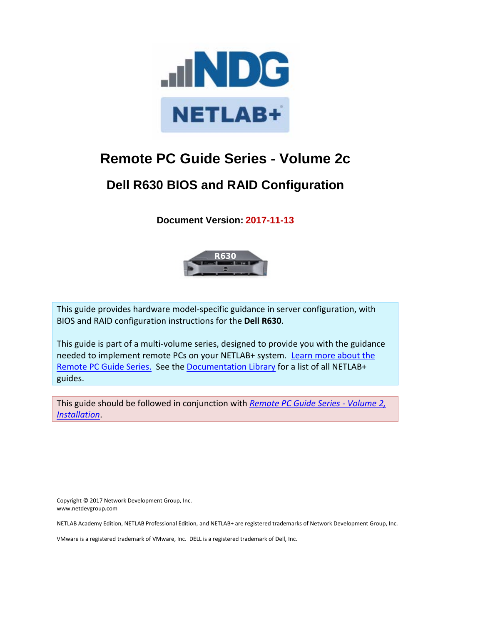

# **Remote PC Guide Series - Volume 2c**

# **Dell R630 BIOS and RAID Configuration**

**Document Version: 2017-11-13**



This guide provides hardware model-specific guidance in server configuration, with BIOS and RAID configuration instructions for the **Dell R630**.

This guide is part of a multi-volume series, designed to provide you with the guidance needed to implement remote PCs on your NETLAB+ system. Learn more about the [Remote PC Guide Series.](http://www.netdevgroup.com/support/documentation/Remote_PC_Guide_Series_web.pdf) See th[e Documentation Library](http://www.netdevgroup.com/support/documentation/) for a list of all NETLAB+ guides.

This guide should be followed in conjunction with *[Remote PC Guide Series -](https://www.netdevgroup.com/support/documentation/netlab_remote_pc_guide_vol_2_installation.pdf) Volume 2, [Installation](https://www.netdevgroup.com/support/documentation/netlab_remote_pc_guide_vol_2_installation.pdf)*.

Copyright © 2017 Network Development Group, Inc. www.netdevgroup.com

NETLAB Academy Edition, NETLAB Professional Edition, and NETLAB+ are registered trademarks of Network Development Group, Inc.

VMware is a registered trademark of VMware, Inc. DELL is a registered trademark of Dell, Inc.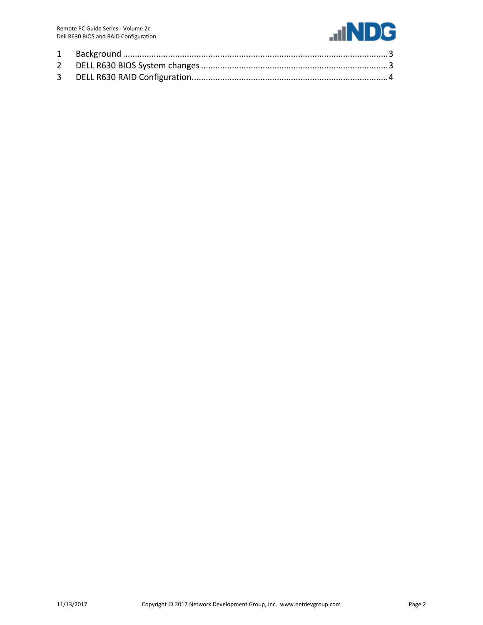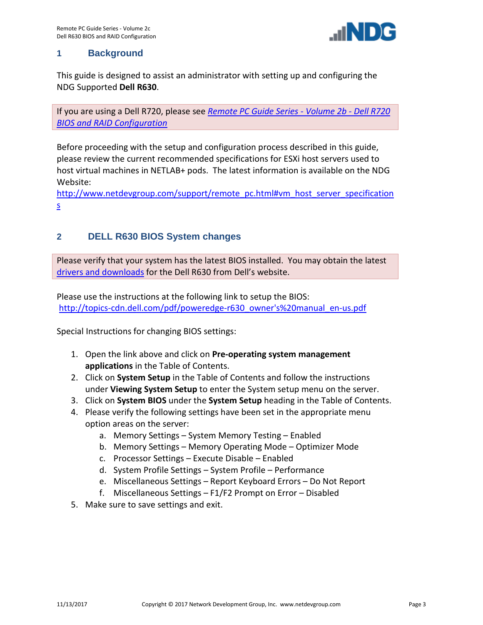

#### <span id="page-2-0"></span>**1 Background**

This guide is designed to assist an administrator with setting up and configuring the NDG Supported **Dell R630**.

If you are using a Dell R720, please see *[Remote PC Guide Series -](http://www.netdevgroup.com/support/documentation/NETLAB_Remote_PC_Guide_Vol_2b_Dell_R720.pdf) Volume 2b - Dell R720 [BIOS and RAID Configuration](http://www.netdevgroup.com/support/documentation/NETLAB_Remote_PC_Guide_Vol_2b_Dell_R720.pdf)*

Before proceeding with the setup and configuration process described in this guide, please review the current recommended specifications for ESXi host servers used to host virtual machines in NETLAB+ pods. The latest information is available on the NDG Website:

[http://www.netdevgroup.com/support/remote\\_pc.html#vm\\_host\\_server\\_specification](http://www.netdevgroup.com/support/remote_pc.html#vm_host_server_specifications) [s](http://www.netdevgroup.com/support/remote_pc.html#vm_host_server_specifications)

## <span id="page-2-1"></span>**2 DELL R630 BIOS System changes**

Please verify that your system has the latest BIOS installed. You may obtain the latest [drivers and downloads](http://www.dell.com/support/drivers/us/en/04/DriversHome/NeedProductSelection) for the Dell R630 from Dell's website.

Please use the instructions at the following link to setup the BIOS: [http://topics-cdn.dell.com/pdf/poweredge-r630\\_owner's%20manual\\_en-us.pdf](http://topics-cdn.dell.com/pdf/poweredge-r630_owner%27s%20manual_en-us.pdf)

Special Instructions for changing BIOS settings:

- 1. Open the link above and click on **Pre-operating system management applications** in the Table of Contents.
- 2. Click on **System Setup** in the Table of Contents and follow the instructions under **Viewing System Setup** to enter the System setup menu on the server.
- 3. Click on **System BIOS** under the **System Setup** heading in the Table of Contents.
- 4. Please verify the following settings have been set in the appropriate menu option areas on the server:
	- a. Memory Settings System Memory Testing Enabled
	- b. Memory Settings Memory Operating Mode Optimizer Mode
	- c. Processor Settings Execute Disable Enabled
	- d. System Profile Settings System Profile Performance
	- e. Miscellaneous Settings Report Keyboard Errors Do Not Report
	- f. Miscellaneous Settings F1/F2 Prompt on Error Disabled
- 5. Make sure to save settings and exit.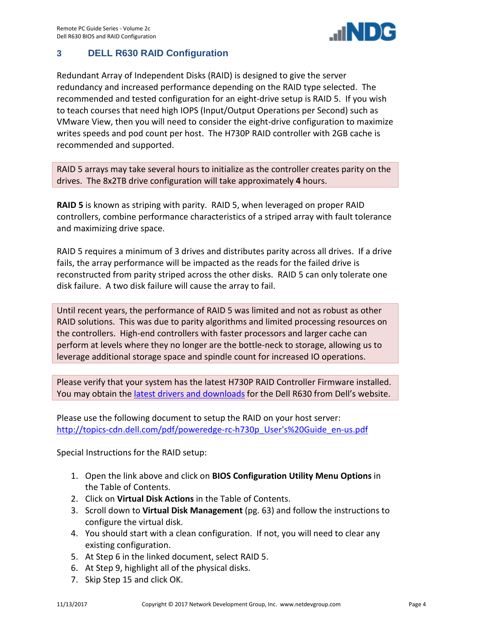

## <span id="page-3-0"></span>**3 DELL R630 RAID Configuration**

Redundant Array of Independent Disks (RAID) is designed to give the server redundancy and increased performance depending on the RAID type selected. The recommended and tested configuration for an eight-drive setup is RAID 5. If you wish to teach courses that need high IOPS (Input/Output Operations per Second) such as VMware View, then you will need to consider the eight-drive configuration to maximize writes speeds and pod count per host. The H730P RAID controller with 2GB cache is recommended and supported.

RAID 5 arrays may take several hours to initialize as the controller creates parity on the drives. The 8x2TB drive configuration will take approximately **4** hours.

**RAID 5** is known as striping with parity. RAID 5, when leveraged on proper RAID controllers, combine performance characteristics of a striped array with fault tolerance and maximizing drive space.

RAID 5 requires a minimum of 3 drives and distributes parity across all drives. If a drive fails, the array performance will be impacted as the reads for the failed drive is reconstructed from parity striped across the other disks. RAID 5 can only tolerate one disk failure. A two disk failure will cause the array to fail.

Until recent years, the performance of RAID 5 was limited and not as robust as other RAID solutions. This was due to parity algorithms and limited processing resources on the controllers. High-end controllers with faster processors and larger cache can perform at levels where they no longer are the bottle-neck to storage, allowing us to leverage additional storage space and spindle count for increased IO operations.

Please verify that your system has the latest H730P RAID Controller Firmware installed. You may obtain the [latest drivers and downloads](http://www.dell.com/support/drivers/us/en/04/DriversHome/NeedProductSelection) for the Dell R630 from Dell's website.

Please use the following document to setup the RAID on your host server: [http://topics-cdn.dell.com/pdf/poweredge-rc-h730p\\_User's%20Guide\\_en-us.pdf](http://topics-cdn.dell.com/pdf/poweredge-rc-h730p_User%27s%20Guide_en-us.pdf)

Special Instructions for the RAID setup:

- 1. Open the link above and click on **BIOS Configuration Utility Menu Options** in the Table of Contents.
- 2. Click on **Virtual Disk Actions** in the Table of Contents.
- 3. Scroll down to **Virtual Disk Management** (pg. 63) and follow the instructions to configure the virtual disk.
- 4. You should start with a clean configuration. If not, you will need to clear any existing configuration.
- 5. At Step 6 in the linked document, select RAID 5.
- 6. At Step 9, highlight all of the physical disks.
- 7. Skip Step 15 and click OK.